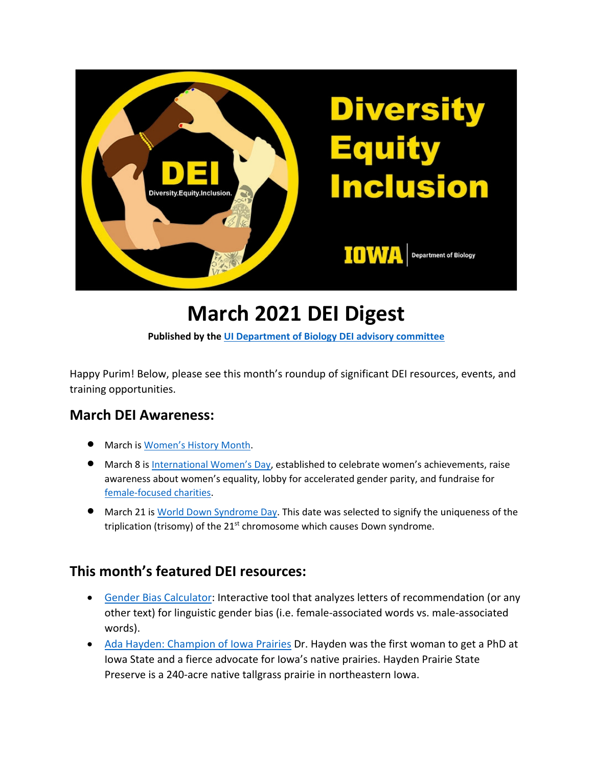

# **March 2021 DEI Digest**

**Published by the [UI Department of Biology DEI advisory committee](https://biology.uiowa.edu/about/diversity-equity-and-inclusion)**

Happy Purim! Below, please see this month's roundup of significant DEI resources, events, and training opportunities.

#### **March DEI Awareness:**

- March i[s Women's History Month.](https://womenshistorymonth.gov/)
- March 8 is [International Women's Day,](https://www.internationalwomensday.com/) established to celebrate women's achievements, raise awareness about women's equality, lobby for accelerated gender parity, and fundraise for [female-focused charities.](https://www.internationalwomensday.com/Fundraising)
- March 21 is [World Down Syndrome Day.](https://www.worlddownsyndromeday.org/about-wdsd) This date was selected to signify the uniqueness of the triplication (trisomy) of the 21<sup>st</sup> chromosome which causes Down syndrome.

#### **This month's featured DEI resources:**

- [Gender Bias Calculator:](https://www.tomforth.co.uk/genderbias/) Interactive tool that analyzes letters of recommendation (or any other text) for linguistic gender bias (i.e. female-associated words vs. male-associated words).
- [Ada Hayden: Champion of Iowa Prairies](http://ameshistory.org/sites/default/files/2001_prairie_conference_deb_lewis.pdf) Dr. Hayden was the first woman to get a PhD at Iowa State and a fierce advocate for Iowa's native prairies. Hayden Prairie State Preserve is a 240-acre native tallgrass prairie in northeastern Iowa.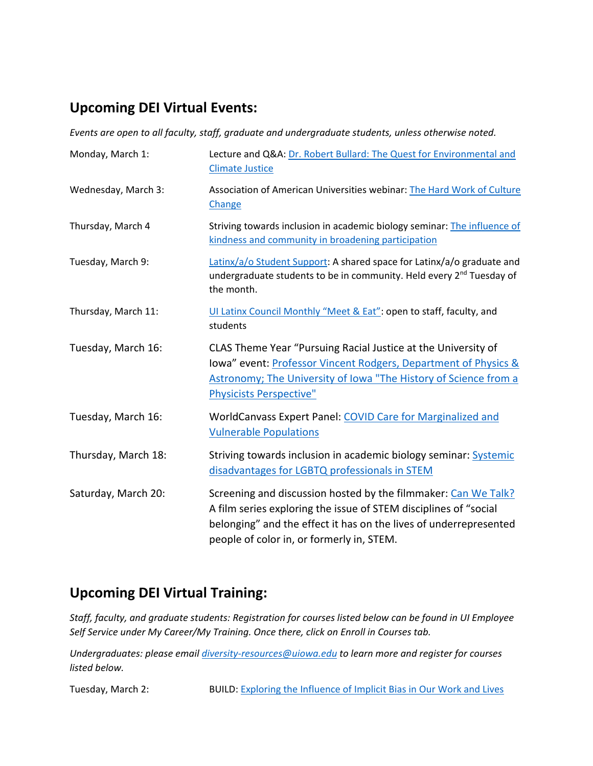### **Upcoming DEI Virtual Events:**

*Events are open to all faculty, staff, graduate and undergraduate students, unless otherwise noted.*

| Monday, March 1:    | Lecture and Q&A: Dr. Robert Bullard: The Quest for Environmental and<br><b>Climate Justice</b>                                                                                                                                                       |
|---------------------|------------------------------------------------------------------------------------------------------------------------------------------------------------------------------------------------------------------------------------------------------|
| Wednesday, March 3: | Association of American Universities webinar: The Hard Work of Culture<br>Change                                                                                                                                                                     |
| Thursday, March 4   | Striving towards inclusion in academic biology seminar: The influence of<br>kindness and community in broadening participation                                                                                                                       |
| Tuesday, March 9:   | Latinx/a/o Student Support: A shared space for Latinx/a/o graduate and<br>undergraduate students to be in community. Held every 2 <sup>nd</sup> Tuesday of<br>the month.                                                                             |
| Thursday, March 11: | UI Latinx Council Monthly "Meet & Eat": open to staff, faculty, and<br>students                                                                                                                                                                      |
| Tuesday, March 16:  | CLAS Theme Year "Pursuing Racial Justice at the University of<br>lowa" event: Professor Vincent Rodgers, Department of Physics &<br>Astronomy; The University of Iowa "The History of Science from a<br><b>Physicists Perspective"</b>               |
| Tuesday, March 16:  | WorldCanvass Expert Panel: COVID Care for Marginalized and<br><b>Vulnerable Populations</b>                                                                                                                                                          |
| Thursday, March 18: | Striving towards inclusion in academic biology seminar: Systemic<br>disadvantages for LGBTQ professionals in STEM                                                                                                                                    |
| Saturday, March 20: | Screening and discussion hosted by the filmmaker: Can We Talk?<br>A film series exploring the issue of STEM disciplines of "social<br>belonging" and the effect it has on the lives of underrepresented<br>people of color in, or formerly in, STEM. |

## **Upcoming DEI Virtual Training:**

*Staff, faculty, and graduate students: Registration for courses listed below can be found in UI Employee Self Service under My Career/My Training. Once there, click on Enroll in Courses tab.*

*Undergraduates: please email [diversity-resources@uiowa.edu](mailto:diversity-resources@uiowa.edu) to learn more and register for courses listed below.* 

Tuesday, March 2: BUILD[: Exploring the Influence of Implicit Bias in Our Work and Lives](https://diversity.uiowa.edu/event/55301/0)